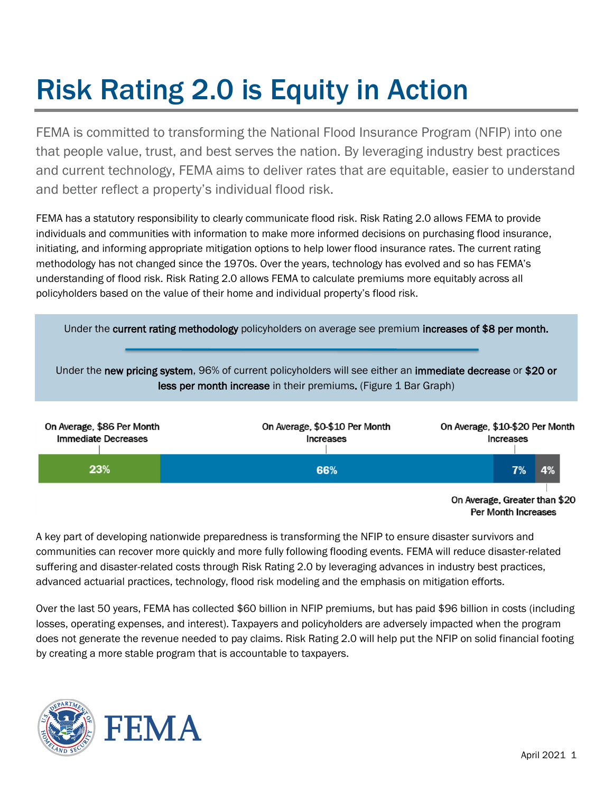# Risk Rating 2.0 is Equity in Action

FEMA is committed to transforming the National Flood Insurance Program (NFIP) into one that people value, trust, and best serves the nation. By leveraging industry best practices and current technology, FEMA aims to deliver rates that are equitable, easier to understand and better reflect a property's individual flood risk.

FEMA has a statutory responsibility to clearly communicate flood risk. Risk Rating 2.0 allows FEMA to provide individuals and communities with information to make more informed decisions on purchasing flood insurance, initiating, and informing appropriate mitigation options to help lower flood insurance rates. The current rating methodology has not changed since the 1970s. Over the years, technology has evolved and so has FEMA's understanding of flood risk. Risk Rating 2.0 allows FEMA to calculate premiums more equitably across all policyholders based on the value of their home and individual property's flood risk.



A key part of developing nationwide preparedness is transforming the [NFIP](https://www.fema.gov/national-flood-insurance-program) to ensure disaster survivors and communities can recover more quickly and more fully following flooding events. FEMA will reduce disaster-related suffering and disaster-related costs through Risk Rating 2.0 by leveraging advances in industry best practices, advanced actuarial practices, technology, flood risk modeling and the emphasis on mitigation efforts.

Over the last 50 years, FEMA has collected \$60 billion in NFIP premiums, but has paid \$96 billion in costs (including losses, operating expenses, and interest). Taxpayers and policyholders are adversely impacted when the program does not generate the revenue needed to pay claims. Risk Rating 2.0 will help put the NFIP on solid financial footing by creating a more stable program that is accountable to taxpayers.

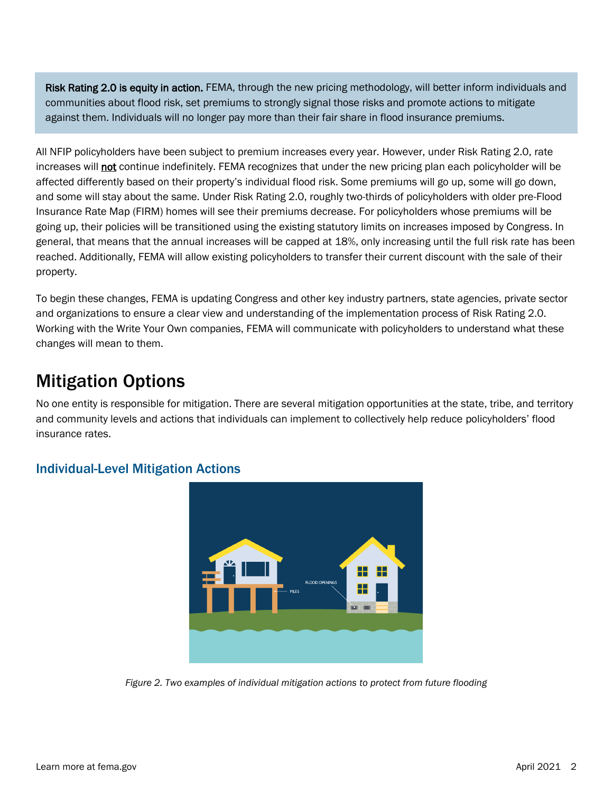Risk Rating 2.0 is equity in action. FEMA, through the new pricing methodology, will better inform individuals and communities about flood risk, set premiums to strongly signal those risks and promote actions to mitigate against them. Individuals will no longer pay more than their fair share in flood insurance premiums.

All NFIP policyholders have been subject to premium increases every year. However, under Risk Rating 2.0, rate increases will not continue indefinitely. FEMA recognizes that under the new pricing plan each policyholder will be affected differently based on their property's individual flood risk. Some premiums will go up, some will go down, and some will stay about the same. Under Risk Rating 2.0, roughly two-thirds of policyholders with older pre-Flood Insurance Rate Map (FIRM) homes will see their premiums decrease. For policyholders whose premiums will be going up, their policies will be transitioned using the existing statutory limits on increases imposed by Congress. In general, that means that the annual increases will be capped at 18%, only increasing until the full risk rate has been reached. Additionally, FEMA will allow existing policyholders to transfer their current discount with the sale of their property.

To begin these changes, FEMA is updating Congress and other key industry partners, state agencies, private sector and organizations to ensure a clear view and understanding of the implementation process of Risk Rating 2.0. Working with the Write Your Own companies, FEMA will communicate with policyholders to understand what these changes will mean to them.

# Mitigation Options

No one entity is responsible for mitigation. There are several mitigation opportunities at the state, tribe, and territory and community levels and actions that individuals can implement to collectively help reduce policyholders' flood insurance rates.



# Individual-Level Mitigation Actions

*Figure 2. Two examples of individual mitigation actions to protect from future flooding*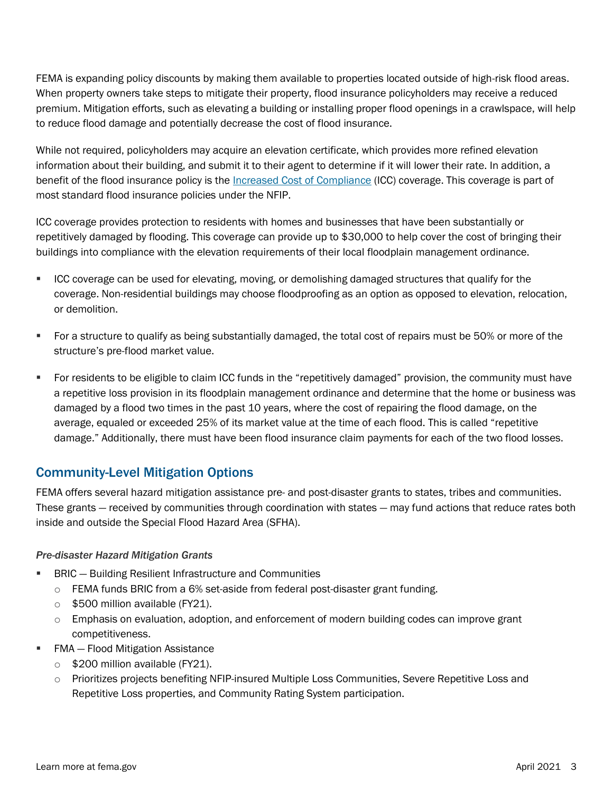FEMA is expanding policy discounts by making them available to properties located outside of high-risk flood areas. When property owners take steps to mitigate their property, flood insurance policyholders may receive a reduced premium. Mitigation efforts, such as elevating a building or installing proper flood openings in a crawlspace, will help to reduce flood damage and potentially decrease the cost of flood insurance.

While not required, policyholders may acquire an elevation certificate, which provides more refined elevation information about their building, and submit it to their agent to determine if it will lower their rate. In addition, a benefit of the flood insurance policy is the [Increased Cost of Compliance](https://www.fema.gov/floodplain-management/financial-help/increased-cost-compliance) (ICC) coverage. This coverage is part of most standard flood insurance policies under the NFIP.

ICC coverage provides protection to residents with homes and businesses that have been substantially or repetitively damaged by flooding. This coverage can provide up to \$30,000 to help cover the cost of bringing their buildings into compliance with the elevation requirements of their local floodplain management ordinance.

- **EXEC COVERGED** Can be used for elevating, moving, or demolishing damaged structures that qualify for the coverage. Non-residential buildings may choose floodproofing as an option as opposed to elevation, relocation, or demolition.
- For a structure to qualify as being substantially damaged, the total cost of repairs must be 50% or more of the structure's pre-flood market value.
- For residents to be eligible to claim ICC funds in the "repetitively damaged" provision, the community must have a repetitive loss provision in its floodplain management ordinance and determine that the home or business was damaged by a flood two times in the past 10 years, where the cost of repairing the flood damage, on the average, equaled or exceeded 25% of its market value at the time of each flood. This is called "repetitive damage." Additionally, there must have been flood insurance claim payments for each of the two flood losses.

# Community-Level Mitigation Options

FEMA offers several hazard mitigation assistance pre- and post-disaster grants to states, tribes and communities. These grants — received by communities through coordination with states — may fund actions that reduce rates both inside and outside the Special Flood Hazard Area (SFHA).

#### *Pre-disaster Hazard Mitigation Grants*

- **EXACC** Building Resilient Infrastructure and Communities
	- o FEMA funds BRIC from a 6% set-aside from federal post-disaster grant funding.
	- $\circ$  \$500 million available (FY21).
	- $\circ$  Emphasis on evaluation, adoption, and enforcement of modern building codes can improve grant competitiveness.
- FMA Flood Mitigation Assistance
	- $\circ$  \$200 million available (FY21).
	- o Prioritizes projects benefiting NFIP-insured Multiple Loss Communities, Severe Repetitive Loss and Repetitive Loss properties, and Community Rating System participation.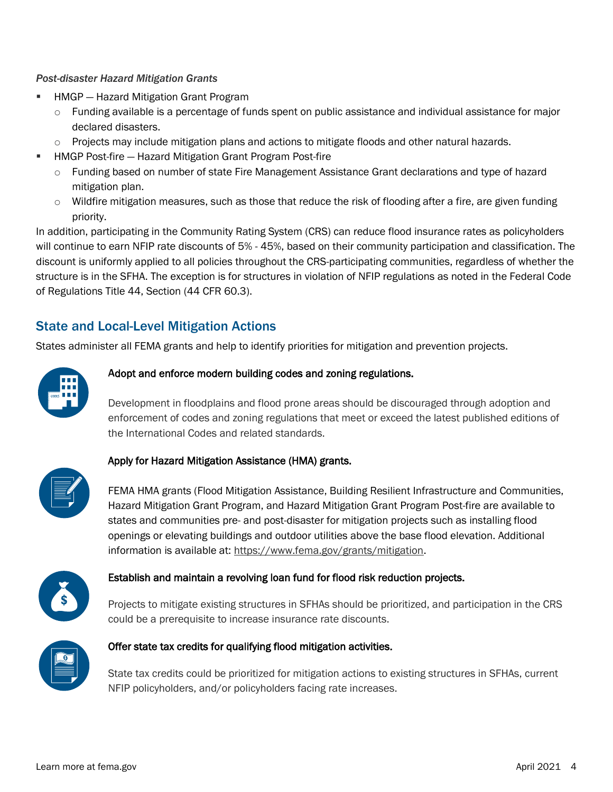#### *Post-disaster Hazard Mitigation Grants*

- **HMGP** Hazard Mitigation Grant Program
	- $\circ$  Funding available is a percentage of funds spent on public assistance and individual assistance for major declared disasters.
	- $\circ$  Projects may include mitigation plans and actions to mitigate floods and other natural hazards.
- **HMGP Post-fire Hazard Mitigation Grant Program Post-fire** 
	- o Funding based on number of state Fire Management Assistance Grant declarations and type of hazard mitigation plan.
	- $\circ$  Wildfire mitigation measures, such as those that reduce the risk of flooding after a fire, are given funding priority.

In addition, participating in the Community Rating System (CRS) can reduce flood insurance rates as policyholders will continue to earn NFIP rate discounts of 5% - 45%, based on their community participation and classification. The discount is uniformly applied to all policies throughout the CRS-participating communities, regardless of whether the structure is in the SFHA. The exception is for structures in violation of NFIP regulations as noted in the Federal Code of Regulations Title 44, Section (44 CFR 60.3).

# State and Local-Level Mitigation Actions

States administer all FEMA grants and help to identify priorities for mitigation and prevention projects.



#### Adopt and enforce modern building codes and zoning regulations.

Development in floodplains and flood prone areas should be discouraged through adoption and enforcement of codes and zoning regulations that meet or exceed the latest published editions of the International Codes and related standards.



#### Apply for Hazard Mitigation Assistance (HMA) grants.

FEMA HMA grants (Flood Mitigation Assistance, Building Resilient Infrastructure and Communities, Hazard Mitigation Grant Program, and Hazard Mitigation Grant Program Post-fire are available to states and communities pre- and post-disaster for mitigation projects such as installing flood openings or elevating buildings and outdoor utilities above the base flood elevation. Additional information is available at: [https://www.fema.gov/grants/mitigation.](https://www.fema.gov/grants/mitigation)



#### Establish and maintain a revolving loan fund for flood risk reduction projects.

Projects to mitigate existing structures in SFHAs should be prioritized, and participation in the CRS could be a prerequisite to increase insurance rate discounts.



#### Offer state tax credits for qualifying flood mitigation activities.

State tax credits could be prioritized for mitigation actions to existing structures in SFHAs, current NFIP policyholders, and/or policyholders facing rate increases.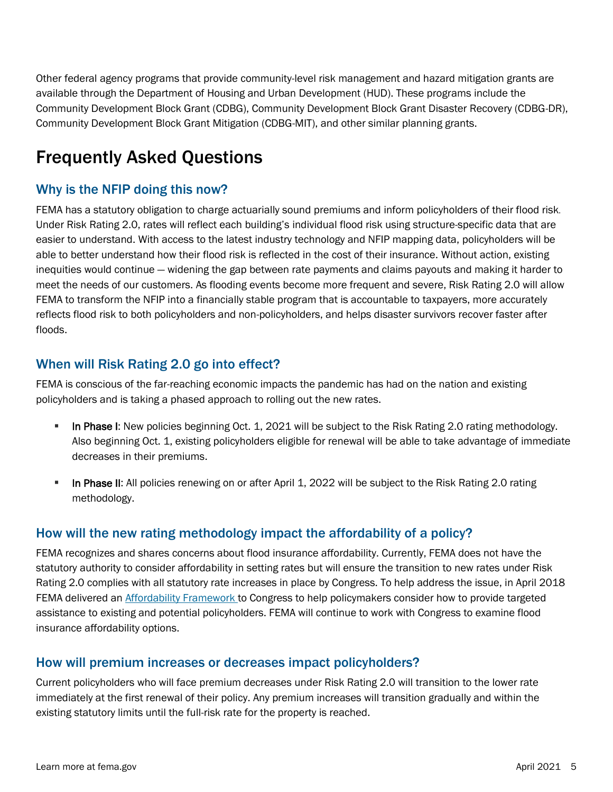Other federal agency programs that provide community-level risk management and hazard mitigation grants are available through the Department of Housing and Urban Development (HUD). These programs include the Community Development Block Grant (CDBG), Community Development Block Grant Disaster Recovery (CDBG-DR), Community Development Block Grant Mitigation (CDBG-MIT), and other similar planning grants.

# Frequently Asked Questions

# Why is the NFIP doing this now?

FEMA has a statutory obligation to charge actuarially sound premiums and inform policyholders of their flood risk. Under Risk Rating 2.0, rates will reflect each building's individual flood risk using structure-specific data that are easier to understand. With access to the latest industry technology and NFIP mapping data, policyholders will be able to better understand how their flood risk is reflected in the cost of their insurance. Without action, existing inequities would continue — widening the gap between rate payments and claims payouts and making it harder to meet the needs of our customers. As flooding events become more frequent and severe, Risk Rating 2.0 will allow FEMA to transform the NFIP into a financially stable program that is accountable to taxpayers, more accurately reflects flood risk to both policyholders and non-policyholders, and helps disaster survivors recover faster after floods.

# When will Risk Rating 2.0 go into effect?

FEMA is conscious of the far-reaching economic impacts the pandemic has had on the nation and existing policyholders and is taking a phased approach to rolling out the new rates.

- In Phase I: New policies beginning Oct. 1, 2021 will be subject to the Risk Rating 2.0 rating methodology. Also beginning Oct. 1, existing policyholders eligible for renewal will be able to take advantage of immediate decreases in their premiums.
- **In Phase II:** All policies renewing on or after April 1, 2022 will be subject to the Risk Rating 2.0 rating methodology.

# How will the new rating methodology impact the affordability of a policy?

FEMA recognizes and shares concerns about flood insurance affordability. Currently, FEMA does not have the statutory authority to consider affordability in setting rates but will ensure the transition to new rates under Risk Rating 2.0 complies with all statutory rate increases in place by Congress. To help address the issue, in April 2018 FEMA delivered an [Affordability Framework t](https://www.fema.gov/sites/default/files/2020-05/Affordability_april_2018.pdf)o Congress to help policymakers consider how to provide targeted assistance to existing and potential policyholders. FEMA will continue to work with Congress to examine flood insurance affordability options.

# How will premium increases or decreases impact policyholders?

Current policyholders who will face premium decreases under Risk Rating 2.0 will transition to the lower rate immediately at the first renewal of their policy. Any premium increases will transition gradually and within the existing statutory limits until the full-risk rate for the property is reached.